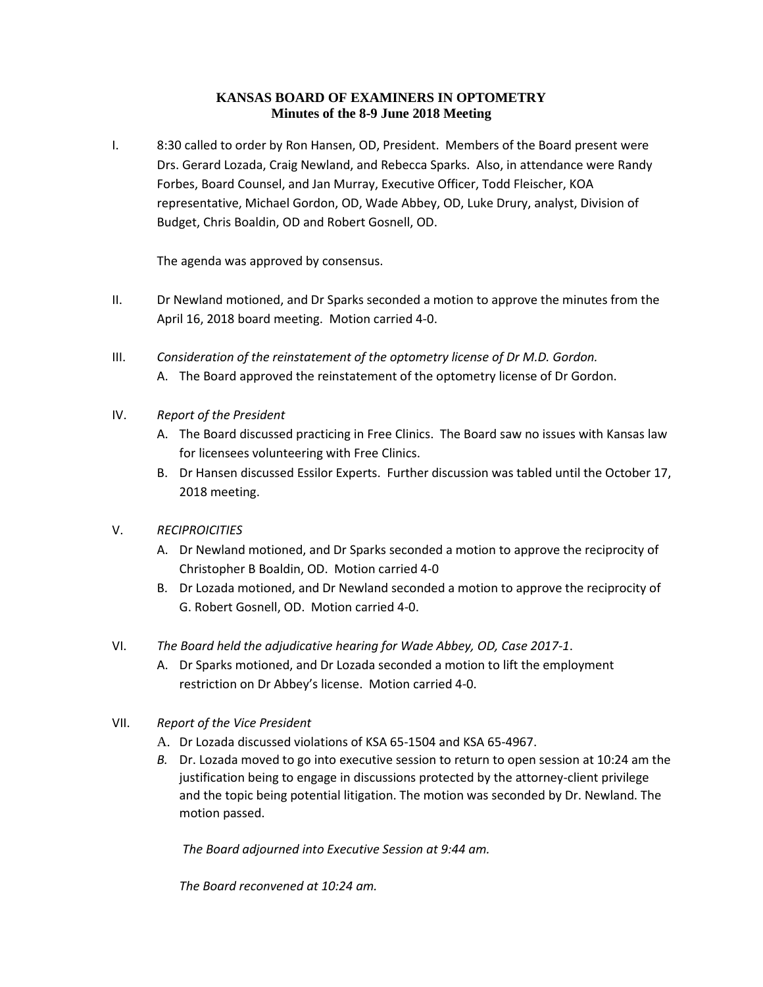# **KANSAS BOARD OF EXAMINERS IN OPTOMETRY Minutes of the 8-9 June 2018 Meeting**

I. 8:30 called to order by Ron Hansen, OD, President. Members of the Board present were Drs. Gerard Lozada, Craig Newland, and Rebecca Sparks. Also, in attendance were Randy Forbes, Board Counsel, and Jan Murray, Executive Officer, Todd Fleischer, KOA representative, Michael Gordon, OD, Wade Abbey, OD, Luke Drury, analyst, Division of Budget, Chris Boaldin, OD and Robert Gosnell, OD.

The agenda was approved by consensus.

- II. Dr Newland motioned, and Dr Sparks seconded a motion to approve the minutes from the April 16, 2018 board meeting. Motion carried 4-0.
- III. *Consideration of the reinstatement of the optometry license of Dr M.D. Gordon.*  A. The Board approved the reinstatement of the optometry license of Dr Gordon.
- IV. *Report of the President*
	- A. The Board discussed practicing in Free Clinics. The Board saw no issues with Kansas law for licensees volunteering with Free Clinics.
	- B. Dr Hansen discussed Essilor Experts. Further discussion was tabled until the October 17, 2018 meeting.
- V. *RECIPROICITIES*
	- A. Dr Newland motioned, and Dr Sparks seconded a motion to approve the reciprocity of Christopher B Boaldin, OD. Motion carried 4-0
	- B. Dr Lozada motioned, and Dr Newland seconded a motion to approve the reciprocity of G. Robert Gosnell, OD. Motion carried 4-0.
- VI. *The Board held the adjudicative hearing for Wade Abbey, OD, Case 2017-1*.
	- A. Dr Sparks motioned, and Dr Lozada seconded a motion to lift the employment restriction on Dr Abbey's license. Motion carried 4-0.
- VII. *Report of the Vice President*
	- A. Dr Lozada discussed violations of KSA 65-1504 and KSA 65-4967.
	- *B.* Dr. Lozada moved to go into executive session to return to open session at 10:24 am the justification being to engage in discussions protected by the attorney-client privilege and the topic being potential litigation. The motion was seconded by Dr. Newland. The motion passed.

*The Board adjourned into Executive Session at 9:44 am.* 

*The Board reconvened at 10:24 am.*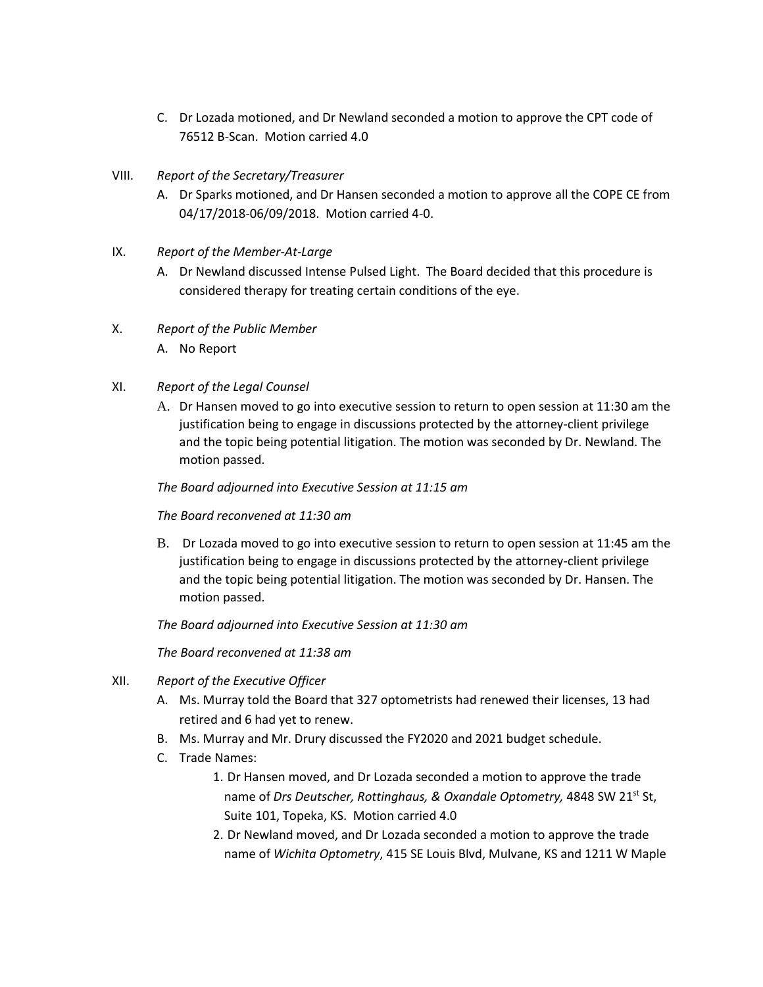- C. Dr Lozada motioned, and Dr Newland seconded a motion to approve the CPT code of 76512 B-Scan. Motion carried 4.0
- VIII. *Report of the Secretary/Treasurer*
	- A. Dr Sparks motioned, and Dr Hansen seconded a motion to approve all the COPE CE from 04/17/2018-06/09/2018. Motion carried 4-0.
- IX. *Report of the Member-At-Large*
	- A. Dr Newland discussed Intense Pulsed Light. The Board decided that this procedure is considered therapy for treating certain conditions of the eye.
- X. *Report of the Public Member*
	- A. No Report
- XI. *Report of the Legal Counsel*
	- A. Dr Hansen moved to go into executive session to return to open session at 11:30 am the justification being to engage in discussions protected by the attorney-client privilege and the topic being potential litigation. The motion was seconded by Dr. Newland. The motion passed.

*The Board adjourned into Executive Session at 11:15 am*

## *The Board reconvened at 11:30 am*

B. Dr Lozada moved to go into executive session to return to open session at 11:45 am the justification being to engage in discussions protected by the attorney-client privilege and the topic being potential litigation. The motion was seconded by Dr. Hansen. The motion passed.

*The Board adjourned into Executive Session at 11:30 am*

*The Board reconvened at 11:38 am*

- XII. *Report of the Executive Officer*
	- A. Ms. Murray told the Board that 327 optometrists had renewed their licenses, 13 had retired and 6 had yet to renew.
	- B. Ms. Murray and Mr. Drury discussed the FY2020 and 2021 budget schedule.
	- C. Trade Names:
		- 1. Dr Hansen moved, and Dr Lozada seconded a motion to approve the trade name of *Drs Deutscher, Rottinghaus, & Oxandale Optometry,* 4848 SW 21<sup>st</sup> St, Suite 101, Topeka, KS. Motion carried 4.0
		- 2. Dr Newland moved, and Dr Lozada seconded a motion to approve the trade name of *Wichita Optometry*, 415 SE Louis Blvd, Mulvane, KS and 1211 W Maple